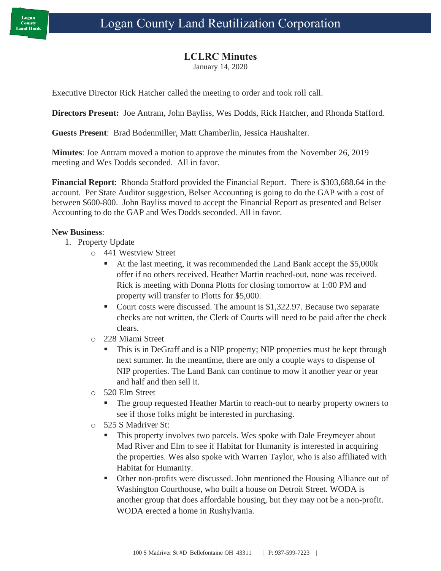## **LCLRC Minutes**

January 14, 2020

Executive Director Rick Hatcher called the meeting to order and took roll call.

**Directors Present:** Joe Antram, John Bayliss, Wes Dodds, Rick Hatcher, and Rhonda Stafford.

**Guests Present**: Brad Bodenmiller, Matt Chamberlin, Jessica Haushalter.

**Minutes**: Joe Antram moved a motion to approve the minutes from the November 26, 2019 meeting and Wes Dodds seconded. All in favor.

**Financial Report**: Rhonda Stafford provided the Financial Report. There is \$303,688.64 in the account. Per State Auditor suggestion, Belser Accounting is going to do the GAP with a cost of between \$600-800. John Bayliss moved to accept the Financial Report as presented and Belser Accounting to do the GAP and Wes Dodds seconded. All in favor.

## **New Business**:

- 1. Property Update
	- o 441 Westview Street
		- At the last meeting, it was recommended the Land Bank accept the \$5,000k offer if no others received. Heather Martin reached-out, none was received. Rick is meeting with Donna Plotts for closing tomorrow at 1:00 PM and property will transfer to Plotts for \$5,000.
		- Court costs were discussed. The amount is \$1,322.97. Because two separate checks are not written, the Clerk of Courts will need to be paid after the check clears.
	- o 228 Miami Street
		- This is in DeGraff and is a NIP property; NIP properties must be kept through next summer. In the meantime, there are only a couple ways to dispense of NIP properties. The Land Bank can continue to mow it another year or year and half and then sell it.
	- o 520 Elm Street
		- The group requested Heather Martin to reach-out to nearby property owners to see if those folks might be interested in purchasing.
	- o 525 S Madriver St:
		- **This property involves two parcels. Wes spoke with Dale Freymeyer about** Mad River and Elm to see if Habitat for Humanity is interested in acquiring the properties. Wes also spoke with Warren Taylor, who is also affiliated with Habitat for Humanity.
		- Other non-profits were discussed. John mentioned the Housing Alliance out of Washington Courthouse, who built a house on Detroit Street. WODA is another group that does affordable housing, but they may not be a non-profit. WODA erected a home in Rushylvania.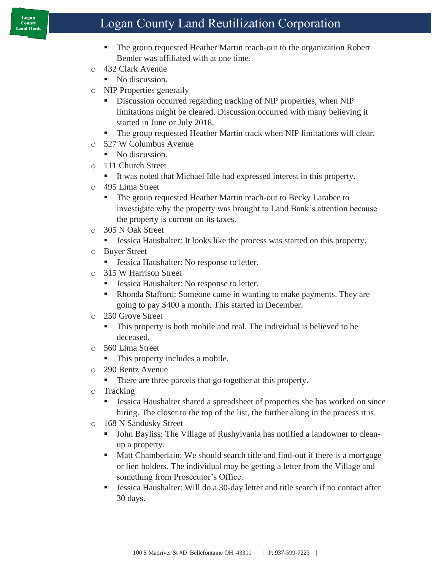## Logan County Land Reutilization Corporation

- The group requested Heather Martin reach-out to the organization Robert Bender was affiliated with at one time.
- o 432 Clark Avenue
	- No discussion.
- o NIP Properties generally
	- **EXECUTE:** Discussion occurred regarding tracking of NIP properties, when NIP limitations might be cleared. Discussion occurred with many believing it started in June or July 2018.
	- The group requested Heather Martin track when NIP limitations will clear.
- o 527 W Columbus Avenue
	- No discussion.
- o 111 Church Street
	- It was noted that Michael Idle had expressed interest in this property.
- o 495 Lima Street
	- The group requested Heather Martin reach-out to Becky Larabee to investigate why the property was brought to Land Bank's attention because the property is current on its taxes.
- o 305 N Oak Street
	- Jessica Haushalter: It looks like the process was started on this property.
- o Buyer Street
	- **Exercise Branch** Jessica Haushalter: No response to letter.
- o 315 W Harrison Street
	- Jessica Haushalter: No response to letter.
	- Rhonda Stafford: Someone came in wanting to make payments. They are going to pay \$400 a month. This started in December.
- o 250 Grove Street
	- This property is both mobile and real. The individual is believed to be deceased.
- o 560 Lima Street
	- This property includes a mobile.
- o 290 Bentz Avenue
	- There are three parcels that go together at this property.
- o Tracking
	- **•** Jessica Haushalter shared a spreadsheet of properties she has worked on since hiring. The closer to the top of the list, the further along in the process it is.
- o 168 N Sandusky Street
	- John Bayliss: The Village of Rushylvania has notified a landowner to cleanup a property.
	- Matt Chamberlain: We should search title and find-out if there is a mortgage or lien holders. The individual may be getting a letter from the Village and something from Prosecutor's Office.
	- Jessica Haushalter: Will do a 30-day letter and title search if no contact after 30 days.